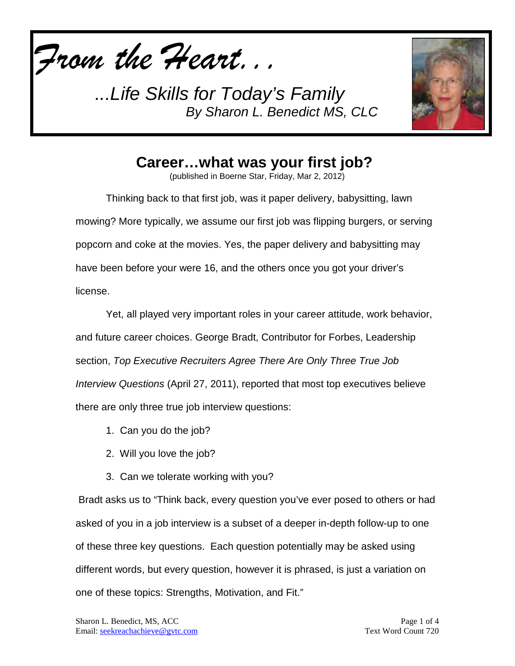*From the Heart...*



## **Career…what was your first job?**

(published in Boerne Star, Friday, Mar 2, 2012)

Thinking back to that first job, was it paper delivery, babysitting, lawn mowing? More typically, we assume our first job was flipping burgers, or serving popcorn and coke at the movies. Yes, the paper delivery and babysitting may have been before your were 16, and the others once you got your driver's license.

Yet, all played very important roles in your career attitude, work behavior, and future career choices. George Bradt, Contributor for Forbes, Leadership section, *Top Executive Recruiters Agree There Are Only Three True Job Interview Questions* (April 27, 2011), reported that most top executives believe there are only three true job interview questions:

- 1. Can you do the job?
- 2. Will you love the job?
- 3. Can we tolerate working with you?

Bradt asks us to "Think back, every question you've ever posed to others or had asked of you in a job interview is a subset of a deeper in-depth follow-up to one of these three key questions. Each question potentially may be asked using different words, but every question, however it is phrased, is just a variation on one of these topics: Strengths, Motivation, and Fit."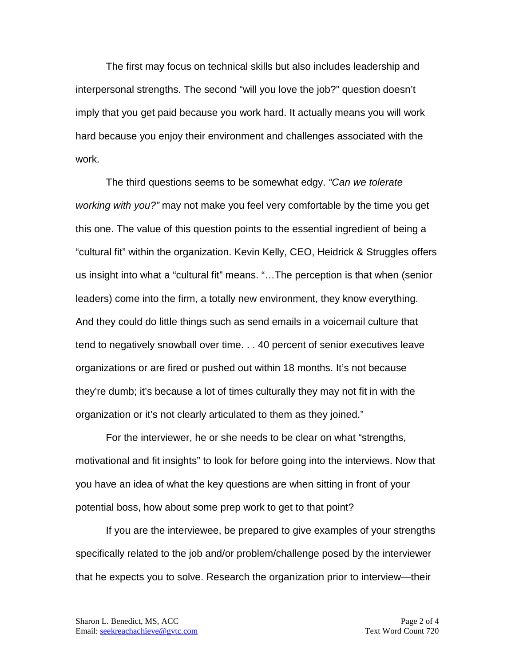The first may focus on technical skills but also includes leadership and interpersonal strengths. The second "will you love the job?" question doesn't imply that you get paid because you work hard. It actually means you will work hard because you enjoy their environment and challenges associated with the work.

The third questions seems to be somewhat edgy. *"Can we tolerate working with you?"* may not make you feel very comfortable by the time you get this one. The value of this question points to the essential ingredient of being a "cultural fit" within the organization. Kevin Kelly, CEO, Heidrick & Struggles offers us insight into what a "cultural fit" means. "…The perception is that when (senior leaders) come into the firm, a totally new environment, they know everything. And they could do little things such as send emails in a voicemail culture that tend to negatively snowball over time. . . 40 percent of senior executives leave organizations or are fired or pushed out within 18 months. It's not because they're dumb; it's because a lot of times culturally they may not fit in with the organization or it's not clearly articulated to them as they joined."

For the interviewer, he or she needs to be clear on what "strengths, motivational and fit insights" to look for before going into the interviews. Now that you have an idea of what the key questions are when sitting in front of your potential boss, how about some prep work to get to that point?

If you are the interviewee, be prepared to give examples of your strengths specifically related to the job and/or problem/challenge posed by the interviewer that he expects you to solve. Research the organization prior to interview—their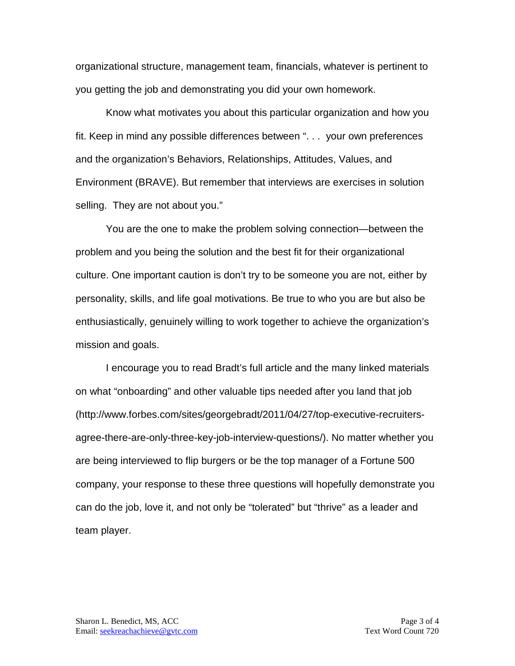organizational structure, management team, financials, whatever is pertinent to you getting the job and demonstrating you did your own homework.

Know what motivates you about this particular organization and how you fit. Keep in mind any possible differences between ". . . your own preferences and the organization's Behaviors, Relationships, Attitudes, Values, and Environment (BRAVE). But remember that interviews are exercises in solution selling. They are not about you."

You are the one to make the problem solving connection—between the problem and you being the solution and the best fit for their organizational culture. One important caution is don't try to be someone you are not, either by personality, skills, and life goal motivations. Be true to who you are but also be enthusiastically, genuinely willing to work together to achieve the organization's mission and goals.

I encourage you to read Bradt's full article and the many linked materials on what "onboarding" and other valuable tips needed after you land that job (http://www.forbes.com/sites/georgebradt/2011/04/27/top-executive-recruitersagree-there-are-only-three-key-job-interview-questions/). No matter whether you are being interviewed to flip burgers or be the top manager of a Fortune 500 company, your response to these three questions will hopefully demonstrate you can do the job, love it, and not only be "tolerated" but "thrive" as a leader and team player.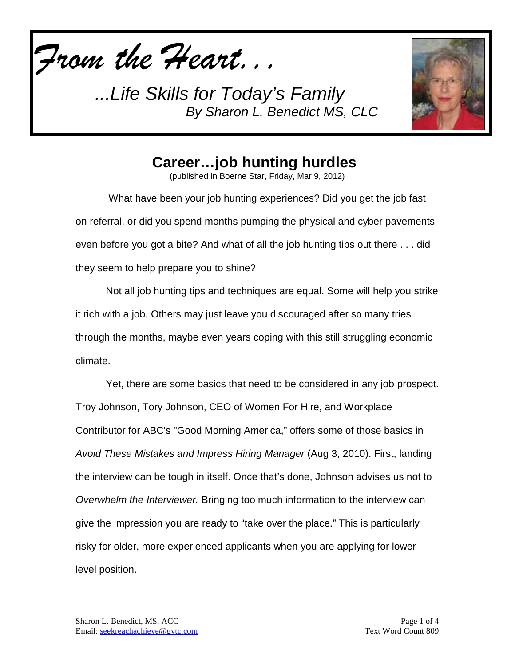*From the Heart...*



**Career…job hunting hurdles**

(published in Boerne Star, Friday, Mar 9, 2012)

What have been your job hunting experiences? Did you get the job fast on referral, or did you spend months pumping the physical and cyber pavements even before you got a bite? And what of all the job hunting tips out there . . . did they seem to help prepare you to shine?

Not all job hunting tips and techniques are equal. Some will help you strike it rich with a job. Others may just leave you discouraged after so many tries through the months, maybe even years coping with this still struggling economic climate.

Yet, there are some basics that need to be considered in any job prospect. Troy Johnson, Tory Johnson, CEO of Women For Hire, and Workplace Contributor for ABC's "Good Morning America," offers some of those basics in *Avoid These Mistakes and Impress Hiring Manager* (Aug 3, 2010). First, landing the interview can be tough in itself. Once that's done, Johnson advises us not to *Overwhelm the Interviewer.* Bringing too much information to the interview can give the impression you are ready to "take over the place." This is particularly risky for older, more experienced applicants when you are applying for lower level position.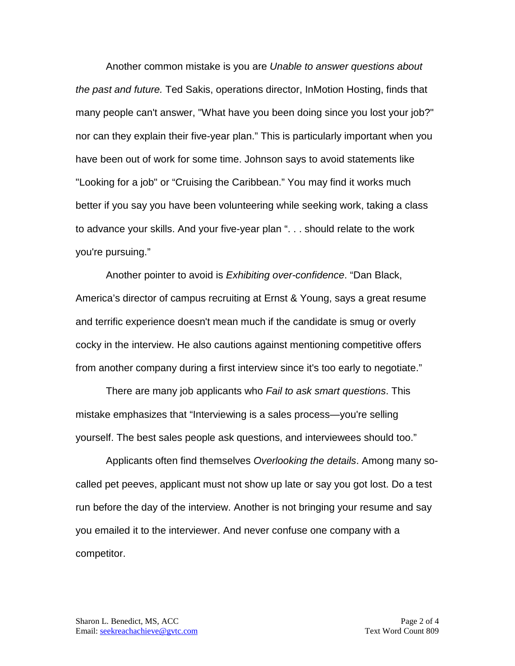Another common mistake is you are *Unable to answer questions about the past and future.* Ted Sakis, operations director, InMotion Hosting, finds that many people can't answer, "What have you been doing since you lost your job?" nor can they explain their five-year plan." This is particularly important when you have been out of work for some time. Johnson says to avoid statements like "Looking for a job" or "Cruising the Caribbean." You may find it works much better if you say you have been volunteering while seeking work, taking a class to advance your skills. And your five-year plan ". . . should relate to the work you're pursuing."

Another pointer to avoid is *Exhibiting over-confidence*. "Dan Black, America's director of campus recruiting at Ernst & Young, says a great resume and terrific experience doesn't mean much if the candidate is smug or overly cocky in the interview. He also cautions against mentioning competitive offers from another company during a first interview since it's too early to negotiate."

There are many job applicants who *Fail to ask smart questions*. This mistake emphasizes that "Interviewing is a sales process—you're selling yourself. The best sales people ask questions, and interviewees should too."

Applicants often find themselves *Overlooking the details*. Among many socalled pet peeves, applicant must not show up late or say you got lost. Do a test run before the day of the interview. Another is not bringing your resume and say you emailed it to the interviewer. And never confuse one company with a competitor.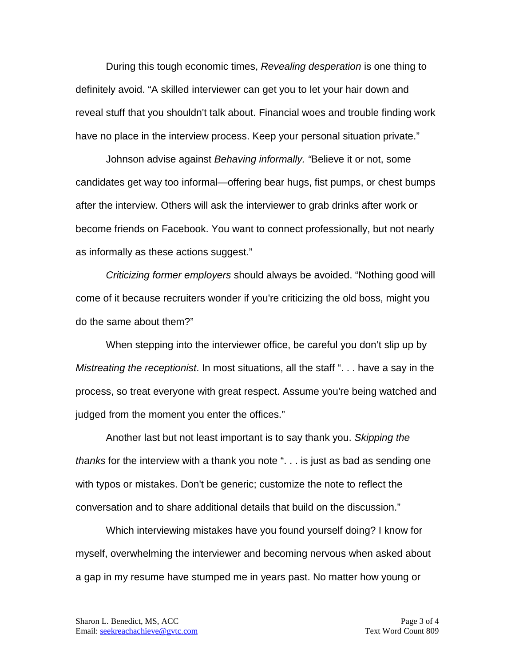During this tough economic times, *Revealing desperation* is one thing to definitely avoid. "A skilled interviewer can get you to let your hair down and reveal stuff that you shouldn't talk about. Financial woes and trouble finding work have no place in the interview process. Keep your personal situation private."

Johnson advise against *Behaving informally. "*Believe it or not, some candidates get way too informal—offering bear hugs, fist pumps, or chest bumps after the interview. Others will ask the interviewer to grab drinks after work or become friends on Facebook. You want to connect professionally, but not nearly as informally as these actions suggest."

*Criticizing former employers* should always be avoided. "Nothing good will come of it because recruiters wonder if you're criticizing the old boss, might you do the same about them?"

When stepping into the interviewer office, be careful you don't slip up by *Mistreating the receptionist*. In most situations, all the staff ". . . have a say in the process, so treat everyone with great respect. Assume you're being watched and judged from the moment you enter the offices."

Another last but not least important is to say thank you. *Skipping the thanks* for the interview with a thank you note ". . . is just as bad as sending one with typos or mistakes. Don't be generic; customize the note to reflect the conversation and to share additional details that build on the discussion."

Which interviewing mistakes have you found yourself doing? I know for myself, overwhelming the interviewer and becoming nervous when asked about a gap in my resume have stumped me in years past. No matter how young or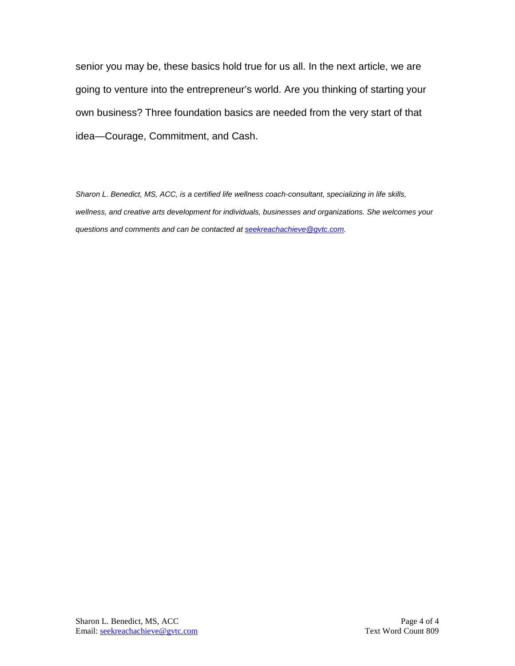senior you may be, these basics hold true for us all. In the next article, we are going to venture into the entrepreneur's world. Are you thinking of starting your own business? Three foundation basics are needed from the very start of that idea—Courage, Commitment, and Cash.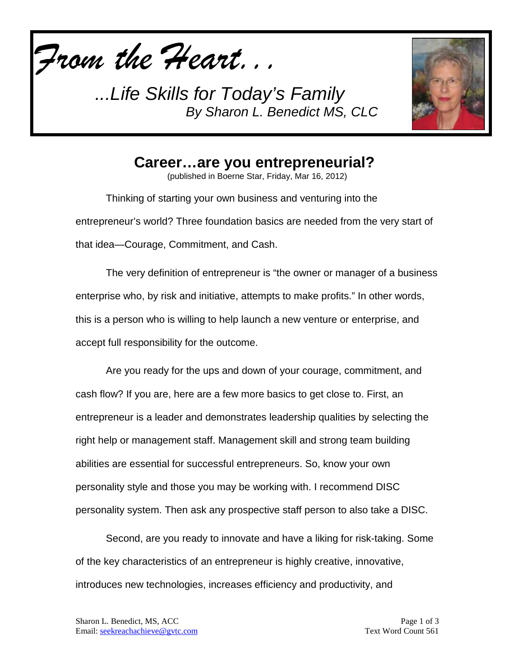*From the Heart...*



**Career…are you entrepreneurial?**

(published in Boerne Star, Friday, Mar 16, 2012)

Thinking of starting your own business and venturing into the entrepreneur's world? Three foundation basics are needed from the very start of that idea—Courage, Commitment, and Cash.

The very definition of entrepreneur is "the owner or manager of a business enterprise who, by risk and initiative, attempts to make profits." In other words, this is a person who is willing to help launch a new venture or enterprise, and accept full responsibility for the outcome.

Are you ready for the ups and down of your courage, commitment, and cash flow? If you are, here are a few more basics to get close to. First, an entrepreneur is a leader and demonstrates leadership qualities by selecting the right help or management staff. Management skill and strong team building abilities are essential for successful entrepreneurs. So, know your own personality style and those you may be working with. I recommend DISC personality system. Then ask any prospective staff person to also take a DISC.

Second, are you ready to innovate and have a liking for risk-taking. Some of the key characteristics of an entrepreneur is highly creative, innovative, introduces new technologies, increases efficiency and productivity, and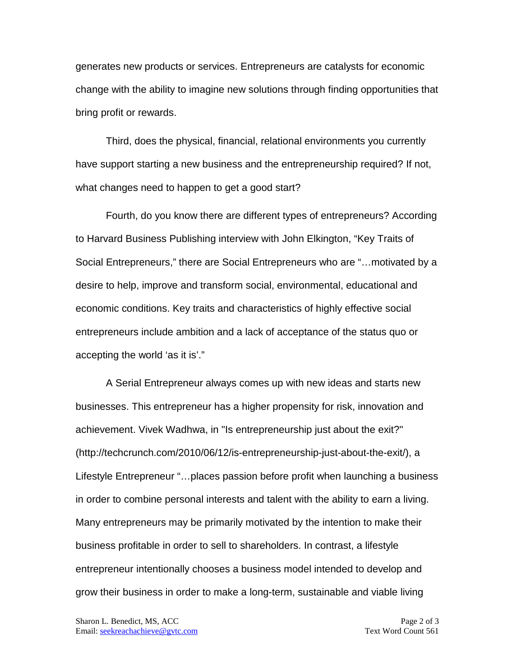generates new products or services. Entrepreneurs are catalysts for economic change with the ability to imagine new solutions through finding opportunities that bring profit or rewards.

Third, does the physical, financial, relational environments you currently have support starting a new business and the entrepreneurship required? If not, what changes need to happen to get a good start?

Fourth, do you know there are different types of entrepreneurs? According to Harvard Business Publishing interview with John Elkington, "Key Traits of Social Entrepreneurs," there are Social Entrepreneurs who are "…motivated by a desire to help, improve and transform social, environmental, educational and economic conditions. Key traits and characteristics of highly effective social entrepreneurs include ambition and a lack of acceptance of the status quo or accepting the world 'as it is'."

A Serial Entrepreneur always comes up with new ideas and starts new businesses. This entrepreneur has a higher propensity for risk, innovation and achievement. Vivek Wadhwa, in "Is entrepreneurship just about the exit?" (http://techcrunch.com/2010/06/12/is-entrepreneurship-just-about-the-exit/), a Lifestyle Entrepreneur "…places passion before profit when launching a business in order to combine personal interests and talent with the ability to earn a living. Many entrepreneurs may be primarily motivated by the intention to make their business profitable in order to sell to shareholders. In contrast, a lifestyle entrepreneur intentionally chooses a business model intended to develop and grow their business in order to make a long-term, sustainable and viable living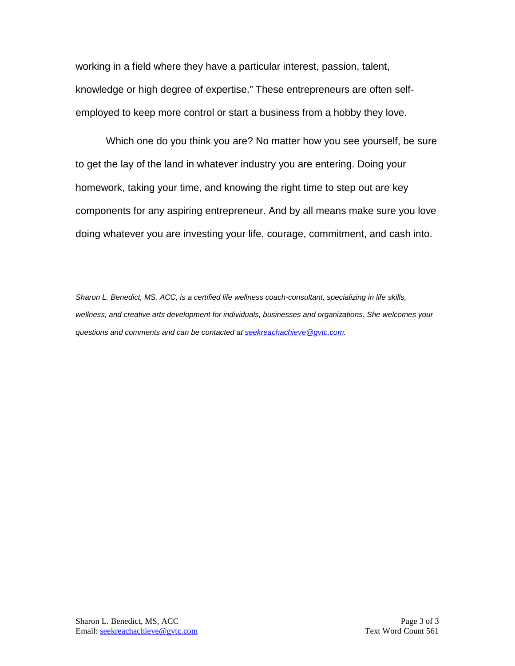working in a field where they have a particular interest, passion, talent, knowledge or high degree of expertise." These entrepreneurs are often selfemployed to keep more control or start a business from a hobby they love.

Which one do you think you are? No matter how you see yourself, be sure to get the lay of the land in whatever industry you are entering. Doing your homework, taking your time, and knowing the right time to step out are key components for any aspiring entrepreneur. And by all means make sure you love doing whatever you are investing your life, courage, commitment, and cash into.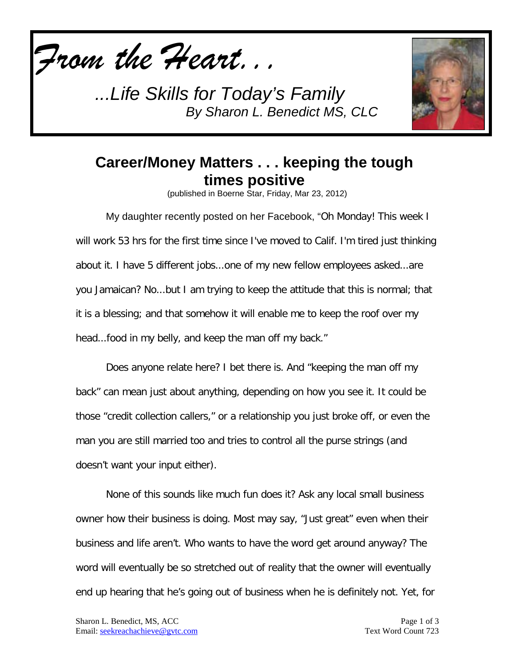



## **Career/Money Matters . . . keeping the tough times positive**

(published in Boerne Star, Friday, Mar 23, 2012)

My daughter recently posted on her Facebook, "Oh Monday! This week I will work 53 hrs for the first time since I've moved to Calif. I'm tired just thinking about it. I have 5 different jobs...one of my new fellow employees asked...are you Jamaican? No...but I am trying to keep the attitude that this is normal; that it is a blessing; and that somehow it will enable me to keep the roof over my head...food in my belly, and keep the man off my back."

Does anyone relate here? I bet there is. And "keeping the man off my back" can mean just about anything, depending on how you see it. It could be those "credit collection callers," or a relationship you just broke off, or even the man you are still married too and tries to control all the purse strings (and doesn't want your input either).

None of this sounds like much fun does it? Ask any local small business owner how their business is doing. Most may say, "Just great" even when their business and life aren't. Who wants to have the word get around anyway? The word will eventually be so stretched out of reality that the owner will eventually end up hearing that he's going out of business when he is definitely not. Yet, for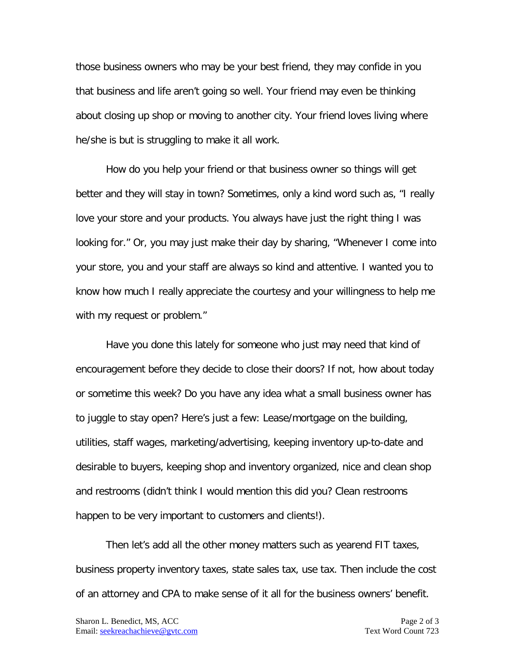those business owners who may be your best friend, they may confide in you that business and life aren't going so well. Your friend may even be thinking about closing up shop or moving to another city. Your friend loves living where he/she is but is struggling to make it all work.

How do you help your friend or that business owner so things will get better and they will stay in town? Sometimes, only a kind word such as, "I really love your store and your products. You always have just the right thing I was looking for." Or, you may just make their day by sharing, "Whenever I come into your store, you and your staff are always so kind and attentive. I wanted you to know how much I really appreciate the courtesy and your willingness to help me with my request or problem."

Have you done this lately for someone who just may need that kind of encouragement before they decide to close their doors? If not, how about today or sometime this week? Do you have any idea what a small business owner has to juggle to stay open? Here's just a few: Lease/mortgage on the building, utilities, staff wages, marketing/advertising, keeping inventory up-to-date and desirable to buyers, keeping shop and inventory organized, nice and clean shop and restrooms (didn't think I would mention this did you? Clean restrooms happen to be very important to customers and clients!).

Then let's add all the other money matters such as yearend FIT taxes, business property inventory taxes, state sales tax, use tax. Then include the cost of an attorney and CPA to make sense of it all for the business owners' benefit.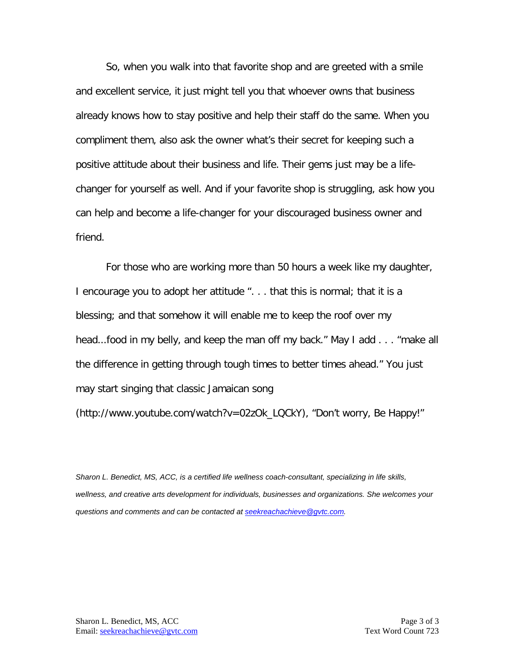So, when you walk into that favorite shop and are greeted with a smile and excellent service, it just might tell you that whoever owns that business already knows how to stay positive and help their staff do the same. When you compliment them, also ask the owner what's their secret for keeping such a positive attitude about their business and life. Their gems just may be a lifechanger for yourself as well. And if your favorite shop is struggling, ask how you can help and become a life-changer for your discouraged business owner and friend.

For those who are working more than 50 hours a week like my daughter, I encourage you to adopt her attitude ". . . that this is normal; that it is a blessing; and that somehow it will enable me to keep the roof over my head...food in my belly, and keep the man off my back." May I add . . . "make all the difference in getting through tough times to better times ahead." You just may start singing that classic Jamaican song

(http://www.youtube.com/watch?v=02zOk\_LQCkY), "Don't worry, Be Happy!"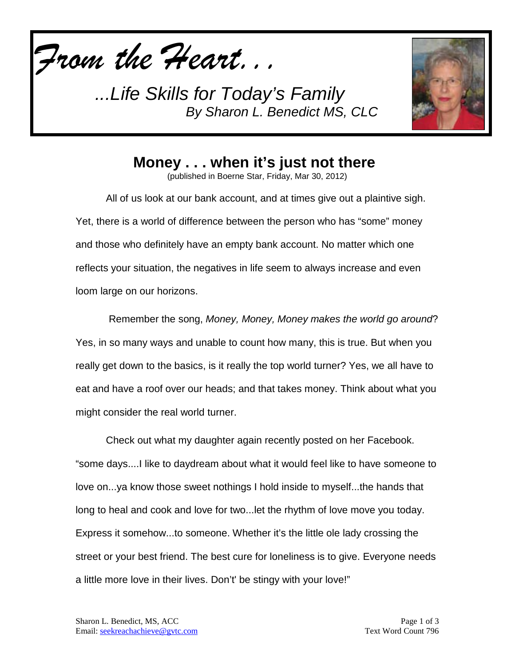



**Money . . . when it's just not there**

(published in Boerne Star, Friday, Mar 30, 2012)

All of us look at our bank account, and at times give out a plaintive sigh. Yet, there is a world of difference between the person who has "some" money and those who definitely have an empty bank account. No matter which one reflects your situation, the negatives in life seem to always increase and even loom large on our horizons.

Remember the song, *Money, Money, Money makes the world go around*? Yes, in so many ways and unable to count how many, this is true. But when you really get down to the basics, is it really the top world turner? Yes, we all have to eat and have a roof over our heads; and that takes money. Think about what you might consider the real world turner.

Check out what my daughter again recently posted on her Facebook. "some days....I like to daydream about what it would feel like to have someone to love on...ya know those sweet nothings I hold inside to myself...the hands that long to heal and cook and love for two...let the rhythm of love move you today. Express it somehow...to someone. Whether it's the little ole lady crossing the street or your best friend. The best cure for loneliness is to give. Everyone needs a little more love in their lives. Don't' be stingy with your love!"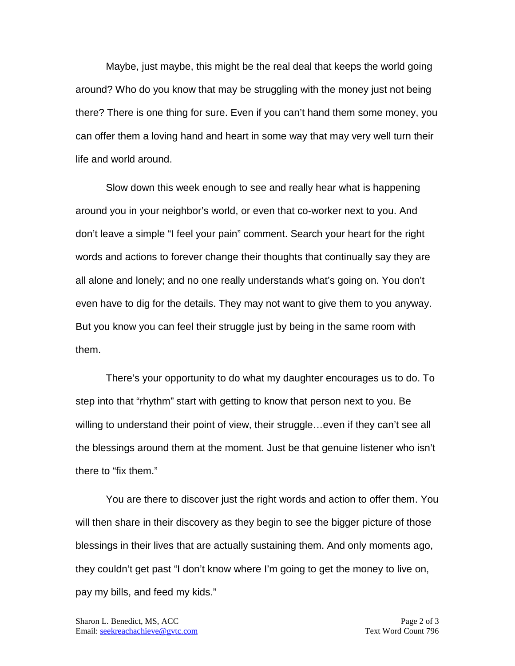Maybe, just maybe, this might be the real deal that keeps the world going around? Who do you know that may be struggling with the money just not being there? There is one thing for sure. Even if you can't hand them some money, you can offer them a loving hand and heart in some way that may very well turn their life and world around.

Slow down this week enough to see and really hear what is happening around you in your neighbor's world, or even that co-worker next to you. And don't leave a simple "I feel your pain" comment. Search your heart for the right words and actions to forever change their thoughts that continually say they are all alone and lonely; and no one really understands what's going on. You don't even have to dig for the details. They may not want to give them to you anyway. But you know you can feel their struggle just by being in the same room with them.

There's your opportunity to do what my daughter encourages us to do. To step into that "rhythm" start with getting to know that person next to you. Be willing to understand their point of view, their struggle…even if they can't see all the blessings around them at the moment. Just be that genuine listener who isn't there to "fix them."

You are there to discover just the right words and action to offer them. You will then share in their discovery as they begin to see the bigger picture of those blessings in their lives that are actually sustaining them. And only moments ago, they couldn't get past "I don't know where I'm going to get the money to live on, pay my bills, and feed my kids."